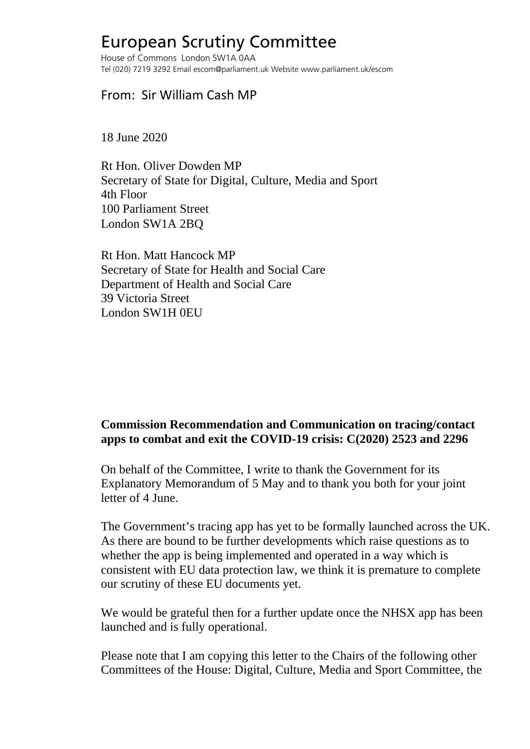## European Scrutiny Committee

House of Commons London SW1A 0AA Tel (020) 7219 3292 Email escom@parliament.uk Website www.parliament.uk/escom

## From: Sir William Cash MP

18 June 2020

Rt Hon. Oliver Dowden MP Secretary of State for Digital, Culture, Media and Sport 4th Floor 100 Parliament Street London SW1A 2BQ

Rt Hon. Matt Hancock MP Secretary of State for Health and Social Care Department of Health and Social Care 39 Victoria Street London SW1H 0EU

## **Commission Recommendation and Communication on tracing/contact apps to combat and exit the COVID-19 crisis: C(2020) 2523 and 2296**

On behalf of the Committee, I write to thank the Government for its Explanatory Memorandum of 5 May and to thank you both for your joint letter of 4 June.

The Government's tracing app has yet to be formally launched across the UK. As there are bound to be further developments which raise questions as to whether the app is being implemented and operated in a way which is consistent with EU data protection law, we think it is premature to complete our scrutiny of these EU documents yet.

We would be grateful then for a further update once the NHSX app has been launched and is fully operational.

Please note that I am copying this letter to the Chairs of the following other Committees of the House: Digital, Culture, Media and Sport Committee, the